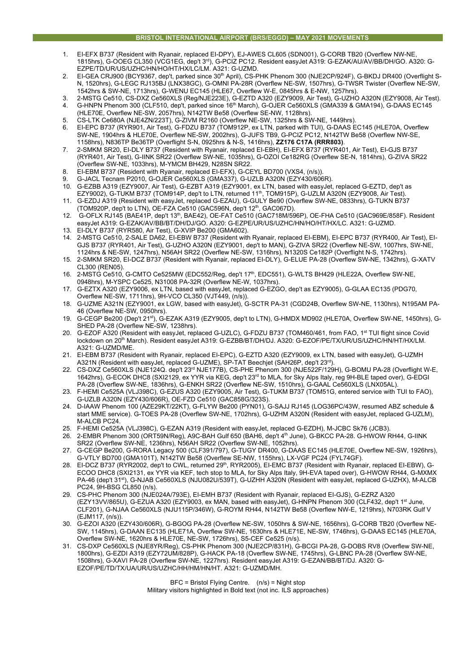## **BRISTOL INTERNATIONAL AIRPORT (BRS/EGGD) – MAY 2021 MOVEMENTS**

- 1. EI-EFX B737 (Resident with Ryanair, replaced EI-DPY), EJ-AWES CL605 (SDN001), G-CORB TB20 (Overflew NW-NE, 1815hrs), G-OOEG CL350 (VCG1EG, dep't 3rd), G-PCIZ PC12. Resident easyJet A319: G-EZAK/AU/AV/BB/DH/GO. A320: G-EZPE/TD/UR/US/UZHC/HN/HO/HT/HX/LC/LM. A321: G-UZMD.
- EI-GEA CRJ900 (BCY9367, dep't, parked since 30<sup>th</sup> April), CS-PHK Phenom 300 (NJE2CP/924F), G-BKDJ DR400 (Overflight S-N, 1520hrs), G-LEGC RJ135BJ (LNX38GC), G-OMNI PA-28R (Overflew NE-SW, 1507hrs), G-TWSR Twister (Overflew NE-SW, 1542hrs & SW-NE, 1713hrs), G-WENU EC145 (HLE67, Overflew W-E, 0845hrs & E-NW, 1257hrs).
- 3. 2-MSTG Ce510, CS-DXZ Ce560XLS (Reg/NJE223E), G-EZTD A320 (EZY9009, Air Test), G-UZHO A320N (EZY9008, Air Test).
- 4. G-HNPN Phenom 300 (CLF510, dep't, parked since 16th March), G-OJER Ce560XLS (GMA339 & GMA194), G-DAAS EC145 (HLE70E, Overflew NE-SW, 2057hrs), N142TW Be58 (Overflew SE-NW, 1128hrs).
- 5. CS-LTK Ce680A (NJE4ZN/223T), G-ZIVM R2160 (Overflew NE-SW, 1325hrs & SW-NE, 1449hrs).
- 6. EI-EPC B737 (RYR901, Air Test), G-FDZU B737 (TOM912P, ex LTN, parked with TUI), G-DAAS EC145 (HLE70A, Overflew SW-NE, 1904hrs & HLE70E, Overflew NE-SW, 2002hrs), G-JUFS TB9, G-PCIZ PC12, N142TW Be58 (Overflew NW-SE, 1158hrs), N836TP Be36TP (Overflight S-N, 0925hrs & N-S, 1416hrs), **ZZ176 C17A (RRR803)**.
- 7. 2-SMKM SR20, EI-DLY B737 (Resident with Ryanair, replaced EI-EBH), EI-EFX B737 (RYR401, Air Test), EI-GJS B737 (RYR401, Air Test), G-IINK SR22 (Overflew SW-NE, 1035hrs), G-OZOI Ce182RG (Overflew SE-N, 1814hrs), G-ZIVA SR22 (Overflew SW-NE, 1033hrs), M-YMCM BH429, N28SN SR22.
- 8. EI-EBM B737 (Resident with Ryanair, replaced EI-EFX), G-CEYL BD700 (VXS4, (n/s)).
- 9. G-JACL Tecnam P2010, G-OJER Ce560XLS (GMA337), G-UZLB A320N (EZY430/606R).
- 10. G-EZBB A319 (EZY9007, Air Test), G-EZBT A319 (EZY9001, ex LTN, based with easyJet, replaced G-EZTD, dep't as EZY9002), G-TUKM B737 (TOM914P, dep't to LTN, returned 11th, TOM915P), G-UZLM A320N (EZY9008, Air Test).
- 11. G-EZDJ A319 (Resident with easyJet, replaced G-EZAU), G-GULY Be90 (Overflew SW-NE, 0833hrs), G-TUKN B737 (TOM920P, dep't to LTN), OE-FZA Ce510 (GAC596N, dep't 12th, GAC067D).
- 12. G-OFLX RJ145 (BAE41P, dep't 13th, BAE42), OE-FAT Ce510 (GAC718M/596P), OE-FHA Ce510 (GAC969E/858F). Resident easyJet A319: G-EZAK/AV/BB/BT/DH/DJ/GO. A320: G-EZPE/UR/US/UZHC/HN/HO/HT/HX/LC. A321: G-UZMD. 13. EI-DLY B737 (RYR580, Air Test), G-XVIP Be200 (GMA602).
- 14. 2-MSTG Ce510, 2-SALE DA62, EI-EBW B737 (Resident with Ryanair, replaced EI-EBM), EI-EPC B737 (RYR400, Air Test), EI-GJS B737 (RYR401, Air Test), G-UZHO A320N (EZY9001, dep't to MAN), G-ZIVA SR22 (Overflew NE-SW, 1007hrs, SW-NE, 1124hrs & NE-SW, 1247hrs), N56AH SR22 (Overflew NE-SW, 1316hrs), N1320S Ce182P (Overflight N-S, 1742hrs).
- 15. 2-SMKM SR20, EI-DCZ B737 (Resident with Ryanair, replaced EI-DLY), G-ELUE PA-28 (Overflew SW-NE, 1342hrs), G-XATV CL300 (REN05).
- 16. 2-MSTG Ce510, G-CMTO Ce525MW (EDC552/Reg, dep't 17<sup>th</sup>, EDC551), G-WLTS BH429 (HLE22A, Overflew SW-NE, 0948hrs), M-YSPC Ce525, N31008 PA-32R (Overflew NE-W, 1037hrs).
- 17. G-EZTX A320 (EZY9006, ex LTN, based with easyJet, replaced G-EZGO, dep't as EZY9005), G-GLAA EC135 (PDG70, Overflew NE-SW, 1711hrs), 9H-VCO CL350 (VJT449, (n/s)).
- 18. G-UZME A321N (EZY9001, ex LGW, based with easyJet), G-SCTR PA-31 (CGD24B, Overflew SW-NE, 1130hrs), N195AM PA-46 (Overflew NE-SW, 0950hrs).
- 19. G-CEGP Be200 (Dep't 21st), G-EZAK A319 (EZY9005, dep't to LTN), G-HMDX MD902 (HLE70A, Overflew SW-NE, 1450hrs), G-SHED PA-28 (Overflew NE-SW, 1238hrs).
- 20. G-EZOF A320 (Resident with easyJet, replaced G-UZLC), G-FDZU B737 (TOM460/461, from FAO, 1<sup>st</sup> TUI flight since Covid lockdown on 20<sup>th</sup> March). Resident easyJet A319: G-EZBB/BT/DH/DJ. A320: G-EZOF/PE/TX/UR/US/UZHC/HN/HT/HX/LM. A321: G-UZMD/ME.
- 21. EI-EBM B737 (Resident with Ryanair, replaced EI-EPC), G-EZTD A320 (EZY9009, ex LTN, based with easyJet), G-UZMH A321N (Resident with easyJet, replaced G-UZME), SP-TAT Beechjet (SAH26P, dep't 23rd).
- 22. CS-DXZ Ce560XLS (NJE124Q. dep't 23rd NJE177B), CS-PHE Phenom 300 (NJE522F/129H), G-BOMU PA-28 (Overflight W-E, 1642hrs), G-ECOK DHC8 (SXI2129, ex YYR via KEG, dep't 23rd to MLA, for Sky Alps Italy, reg 9H-BLE taped over), G-EDGI PA-28 (Overflew SW-NE, 1836hrs), G-ENKH SR22 (Overflew NE-SW, 1510hrs), G-GAAL Ce560XLS (LNX05AL).
- 23. F-HEMI Ce525A (VLJ398C), G-EZUS A320 (EZY9005, Air Test), G-TUKM B737 (TOM51G, entered service with TUI to FAO), G-UZLB A320N (EZY430/606R), OE-FZD Ce510 (GAC858G/323S).
- 24. D-IAAW Phenom 100 (AZE29KT/22KT), G-FLYW Be200 (PYN01), G-SAJJ RJ145 (LOG36PC/43W, resumed ABZ schedule & start MME service). G-TOES PA-28 (Overflew SW-NE, 1702hrs), G-UZHM A320N (Resident with easyJet, replaced G-UZLM), M-ALCB PC24.
- 25. F-HEMI Ce525A (VLJ398C), G-EZAN A319 (Resident with easyJet, replaced G-EZDH), M-JCBC Sk76 (JCB3).
- 26. 2-EMBR Phenom 300 (ORT59N/Reg), A9C-BAH Gulf 650 (BAH6, dep't 4th June), G-BKCC PA-28. G-HWOW RH44, G-IINK SR22 (Overflew SW-NE, 1236hrs), N56AH SR22 (Overflew SW-NE, 1052hrs).
- 27. G-CEGP Be200, G-RORA Legacy 500 (CLF391/797), G-TUGY DR400, G-DAAS EC145 (HLE70E, Overflew NE-SW, 1926hrs), G-VTLY BD700 (GMA101T), N142TW Be58 (Overflew SE-NW, 1155hrs), LX-VGF PC24 (FYL74GF).
- 28. EI-DCZ B737 (RYR2002, dep't to CWL, returned 29<sup>th</sup>, RYR2005), EI-EMC B737 (Resident with Ryanair, replaced EI-EBW), G-ECOO DHC8 (SXI2131, ex YYR via KEF, tech stop to MLA, for Sky Alps Italy, 9H-EVA taped over), G-HWOW RH44, G-MXMX PA-46 (dep't 31st), G-NJAB Ce560XLS (NJU082U/539T), G-UZHH A320N (Resident with easyJet, replaced G-UZHX), M-ALCB PC24, 9H-BSG CL850 (n/s).
- 29. CS-PHC Phenom 300 (NJE024A/793E), EI-EMH B737 (Resident with Ryanair, replaced EI-GJS), G-EZRZ A320 (EZY13VV/865U), G-EZUA A320 (EZY9003, ex MAN, based with easyJet), G-HNPN Phenom 300 (CLF432, dep't 1st June, CLF201), G-NJAA Ce560XLS (NJU115P/346W), G-ROYM RH44, N142TW Be58 (Overflew NW-E, 1219hrs), N703RK Gulf V (EJM117, (n/s)).
- 30. G-EZOI A320 (EZY430/606R), G-BGOG PA-28 (Overflew NE-SW, 1050hrs & SW-NE, 1656hrs), G-CORB TB20 (Overflew NE-SW, 1145hrs), G-DAAN EC135 (HLE71A, Overflew SW-NE, 1630hrs & HLE71E, NE-SW, 1746hrs), G-DAAS EC145 (HLE70A, Overflew SW-NE, 1620hrs & HLE70E, NE-SW, 1726hrs), S5-CEF Ce525 (n/s).
- 31. CS-DXP Ce560XLS (NJE8YR/Reg), CS-PHK Phenom 300 (NJE2CP/831H), G-BCGI PA-28, G-DOBS RV8 (Overflew SW-NE, 1800hrs), G-EZDI A319 (EZY72UM/828P), G-HACK PA-18 (Overflew SW-NE, 1745hrs), G-LBNC PA-28 (Overflew SW-NE, 1508hrs), G-XAVI PA-28 (Overflew SW-NE, 1227hrs). Resident easyJet A319: G-EZAN/BB/BT/DJ. A320: G-EZOF/PE/TD/TX/UA/UR/US/UZHC/HH/HM/HN/HT. A321: G-UZMD/MH.

BFC = Bristol Flying Centre. (n/s) = Night stop Military visitors highlighted in Bold text (not inc. ILS approaches)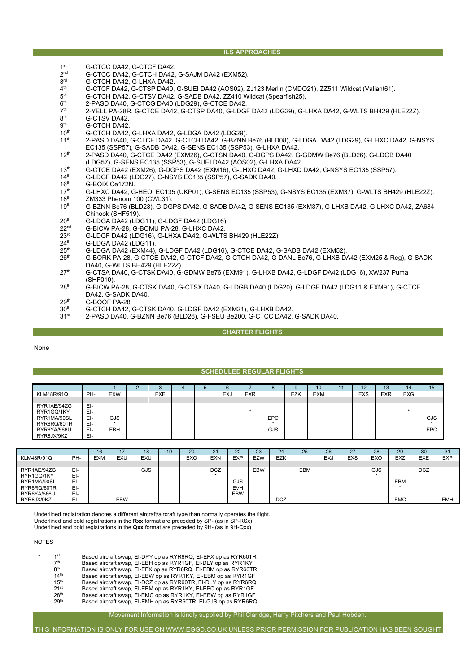## **ILS APPROACHES**

- 1st G-CTCC DA42, G-CTCF DA42.<br>2<sup>nd</sup> G-CTCC DA42, G-CTCH DA42
- $2^{nd}$  G-CTCC DA42, G-CTCH DA42, G-SAJM DA42 (EXM52).<br> $3^{rd}$  G-CTCH DA42 G-LHXA DA42
- 3<sup>rd</sup> G-CTCH DA42, G-LHXA DA42.<br>4<sup>th</sup> G-CTCF DA42, G-CTSP DA40,
- 4<sup>th</sup> G-CTCF DA42, G-CTSP DA40, G-SUEI DA42 (AOS02), ZJ123 Merlin (CMDO21), ZZ511 Wildcat (Valiant61).<br>5<sup>th</sup> G-CTCH DA42, G-CTSV DA42, G-SADB DA42, ZZ410 Wildcat (Spearfish25).
- $5<sup>th</sup>$  G-CTCH DA42, G-CTSV DA42, G-SADB DA42, ZZ410 Wildcat (Spearfish25).<br> $6<sup>th</sup>$  2-PASD DA40, G-CTCG DA40 (LDG29), G-CTCE DA42.
- $6<sup>th</sup>$  2-PASD DA40, G-CTCG DA40 (LDG29), G-CTCE DA42.<br> $7<sup>th</sup>$  2-YFLL PA-28R G-CTCF DA42. G-CTSP DA40. G-LDG
- $7<sup>th</sup>$  2-YELL PA-28R, G-CTCE DA42, G-CTSP DA40, G-LDGF DA42 (LDG29), G-LHXA DA42, G-WLTS BH429 (HLE22Z).<br>8<sup>th</sup> G-CTSV DA42. 8<sup>th</sup> G-CTSV DA42.<br>9<sup>th</sup> G-CTCH DA42
- $9<sup>th</sup>$  G-CTCH DA42.<br>10<sup>th</sup> G-CTCH DA42.
- 10<sup>th</sup> G-CTCH DA42, G-LHXA DA42, G-LDGA DA42 (LDG29).<br>11<sup>th</sup> 2-PASD DA40, G-CTCF DA42, G-CTCH DA42, G-BZNN
- 2-PASD DA40, G-CTCF DA42, G-CTCH DA42, G-BZNN Be76 (BLD08), G-LDGA DA42 (LDG29), G-LHXC DA42, G-NSYS EC135 (SSP57), G-SADB DA42, G-SENS EC135 (SSP53), G-LHXA DA42.
- 12th 2-PASD DA40, G-CTCE DA42 (EXM26), G-CTSN DA40, G-DGPS DA42, G-GDMW Be76 (BLD26), G-LDGB DA40 (LDG57), G-SENS EC135 (SSP53), G-SUEI DA42 (AOS02), G-LHXA DA42.
- 13<sup>th</sup> G-CTCE DA42 (EXM26), G-DGPS DA42 (EXM16), G-LHXC DA42, G-LHXD DA42, G-NSYS EC135 (SSP57).<br>14<sup>th</sup> G-LDGF DA42 (LDG27), G-NSYS EC135 (SSP57), G-SADK DA40.
- 14<sup>th</sup> G-LDGF DA42 (LDG27), G-NSYS EC135 (SSP57), G-SADK DA40.<br>16<sup>th</sup> G-BOIX Ce172N.
- $16^{th}$  G-BOIX Ce172N.<br> $17^{th}$  G-LHXC DA42 G
- 17<sup>th</sup> G-LHXC DA42, G-HEOI EC135 (UKP01), G-SENS EC135 (SSP53), G-NSYS EC135 (EXM37), G-WLTS BH429 (HLE22Z).<br>18<sup>th</sup> ZM333 Phenom 100 (CWL31).
- $18<sup>th</sup>$  ZM333 Phenom 100 (CWL31).<br> $19<sup>th</sup>$  G-BZNN Be76 (BLD23), G-DG 19th G-BZNN Be76 (BLD23), G-DGPS DA42, G-SADB DA42, G-SENS EC135 (EXM37), G-LHXB DA42, G-LHXC DA42, ZA684 Chinook (SHF519).
- $20^{\text{th}}$  G-LDGA DA42 (LDG11), G-LDGF DA42 (LDG16).<br> $22^{\text{nd}}$  G-BICW PA-28, G-BOMU PA-28, G-LHXC DA42.
- 22<sup>nd</sup> G-BICW PA-28, G-BOMU PA-28, G-LHXC DA42.<br>23<sup>rd</sup> G-LDGF DA42 (LDG16), G-LHXA DA42. G-WI TS
- $23<sup>rd</sup>$  G-LDGF DA42 (LDG16), G-LHXA DA42, G-WLTS BH429 (HLE22Z).<br> $24<sup>th</sup>$  G-LDGA DA42 (LDG11)
- $24^{th}$  G-LDGA DA42 (LDG11).<br> $25^{th}$  G-LDGA DA42 (EXM44).
- 25<sup>th</sup> G-LDGA DA42 (EXM44), G-LDGF DA42 (LDG16), G-CTCE DA42, G-SADB DA42 (EXM52).<br>26<sup>th</sup> G-BORK PA-28, G-CTCE DA42, G-CTCF DA42, G-CTCH DA42, G-DANL Be76, G-LHXB D.
- G-BORK PA-28, G-CTCE DA42, G-CTCF DA42, G-CTCH DA42, G-DANL Be76, G-LHXB DA42 (EXM25 & Reg), G-SADK DA40, G-WLTS BH429 (HLE22Z).
- 27th G-CTSA DA40, G-CTSK DA40, G-GDMW Be76 (EXM91), G-LHXB DA42, G-LDGF DA42 (LDG16), XW237 Puma (SHF010).
- 28th G-BICW PA-28, G-CTSK DA40, G-CTSX DA40, G-LDGB DA40 (LDG20), G-LDGF DA42 (LDG11 & EXM91), G-CTCE DA42, G-SADK DA40.
- $29<sup>th</sup>$  G-BOOF PA-28<br> $30<sup>th</sup>$  G-CTCH DA42,
- 30<sup>th</sup> G-CTCH DA42, G-CTSK DA40, G-LDGF DA42 (EXM21), G-LHXB DA42.<br>31<sup>st</sup> 2-PASD DA40, G-BZNN Be76 (BLD26), G-FSEU Be200, G-CTCC DA42.
- 31st 2-PASD DA40, G-BZNN Be76 (BLD26), G-FSEU Be200, G-CTCC DA42, G-SADK DA40.

# **CHARTER FLIGHTS**

None

### **SCHEDULED REGULAR FLIGHTS**

|                   |     |            | - | $\sim$<br>$\sim$ |  |            |            |            |     | 10         | 11 | 12         | 13         | 14         | 15  |
|-------------------|-----|------------|---|------------------|--|------------|------------|------------|-----|------------|----|------------|------------|------------|-----|
| <b>KLM48R/91Q</b> | PH- | <b>EXW</b> |   | <b>EXE</b>       |  | <b>EXJ</b> | <b>EXR</b> |            | EZK | <b>EXM</b> |    | <b>EXS</b> | <b>EXR</b> | <b>EXG</b> |     |
|                   |     |            |   |                  |  |            |            |            |     |            |    |            |            |            |     |
| RYR1AE/94ZG       | EI- |            |   |                  |  |            |            |            |     |            |    |            |            |            |     |
| RYR1GQ/1KY        | EI- |            |   |                  |  |            |            |            |     |            |    |            |            |            |     |
| RYR1MA/90SL       | EI- | GJS        |   |                  |  |            |            | <b>EPC</b> |     |            |    |            |            |            | GJS |
| RYR6RQ/60TR       | EI- |            |   |                  |  |            |            |            |     |            |    |            |            |            |     |
| RYR6YA/566U       | EI- | EBH        |   |                  |  |            |            | GJS        |     |            |    |            |            |            | EPC |
| RYR8JX/9KZ        | EI- |            |   |                  |  |            |            |            |     |            |    |            |            |            |     |

|                   |     | 16         | 47         | 18  | 19 | 20         | 21         | 22         | 23         | 24         | 25  | 26  | $\mathbf{z}$ | 28  | 29         | 30         | 31         |
|-------------------|-----|------------|------------|-----|----|------------|------------|------------|------------|------------|-----|-----|--------------|-----|------------|------------|------------|
|                   |     |            |            |     |    |            |            |            |            |            |     |     |              |     |            |            |            |
| <b>KLM48R/91Q</b> | PH- | <b>EXM</b> | EXU        | EXU |    | <b>EXO</b> | <b>EXN</b> | <b>EXP</b> | <b>EZW</b> | <b>EZK</b> |     | EXJ | <b>EXS</b>   | EXO | <b>EXZ</b> | <b>EXE</b> | <b>EXP</b> |
|                   |     |            |            |     |    |            |            |            |            |            |     |     |              |     |            |            |            |
| RYR1AE/94ZG       | EI- |            |            | GJS |    |            | <b>DCZ</b> |            | <b>EBW</b> |            | EBM |     |              | GJS |            | <b>DCZ</b> |            |
| RYR1GQ/1KY        | EI- |            |            |     |    |            |            |            |            |            |     |     |              |     |            |            |            |
| RYR1MA/90SL       | EI- |            |            |     |    |            |            | <b>GJS</b> |            |            |     |     |              |     | <b>EBM</b> |            |            |
| RYR6RQ/60TR       | EI- |            |            |     |    |            |            | <b>EVH</b> |            |            |     |     |              |     |            |            |            |
|                   |     |            |            |     |    |            |            |            |            |            |     |     |              |     |            |            |            |
| RYR6YA/566U       | EI- |            |            |     |    |            |            | EBW        |            |            |     |     |              |     |            |            |            |
| RYR8JX/9KZ        | EI- |            | <b>EBW</b> |     |    |            |            |            |            | <b>DCZ</b> |     |     |              |     | <b>EMC</b> |            | <b>EMH</b> |

Underlined registration denotes a different aircraft/aircraft type than normally operates the flight. Underlined and bold registrations in the **Rxx** format are preceded by SP- (as in SP-RSx) Underlined and bold registrations in the **Qxx** format are preceded by 9H- (as in 9H-Qxx)

#### **NOTES**

| 1st              | Based aircraft swap, EI-DPY op as RYR6RQ, EI-EFX op as RYR60TR |
|------------------|----------------------------------------------------------------|
| 7 <sup>th</sup>  | Based aircraft swap, EI-EBH op as RYR1GF, EI-DLY op as RYR1KY  |
| 8 <sup>th</sup>  | Based aircraft swap, EI-EFX op as RYR6RQ, EI-EBM op as RYR60TR |
| 14 <sup>th</sup> | Based aircraft swap, EI-EBW op as RYR1KY, EI-EBM op as RYR1GF  |
| 15 <sup>th</sup> | Based aircraft swap, EI-DCZ op as RYR60TR, EI-DLY op as RYR6RQ |
| 21 <sup>st</sup> | Based aircraft swap, EI-EBM op as RYR1KY, EI-EPC op as RYR1GF  |
| 28 <sup>th</sup> | Based aircraft swap, EI-EMC op as RYR1KY, EI-EBW op as RYR1GF  |
| 29 <sup>th</sup> | Based aircraft swap, EI-EMH op as RYR60TR, EI-GJS op as RYR6RQ |
|                  |                                                                |

Movement Information is kindly supplied by Phil Claridge, Harry Pitchers and Paul Hobden.

THIS INFORMATION IS ONLY FOR USE ON WWW.EGGD.CO.UK UNLESS PRIOR PERMISSION FOR PUBLICATION HAS BEEN SOUGHT